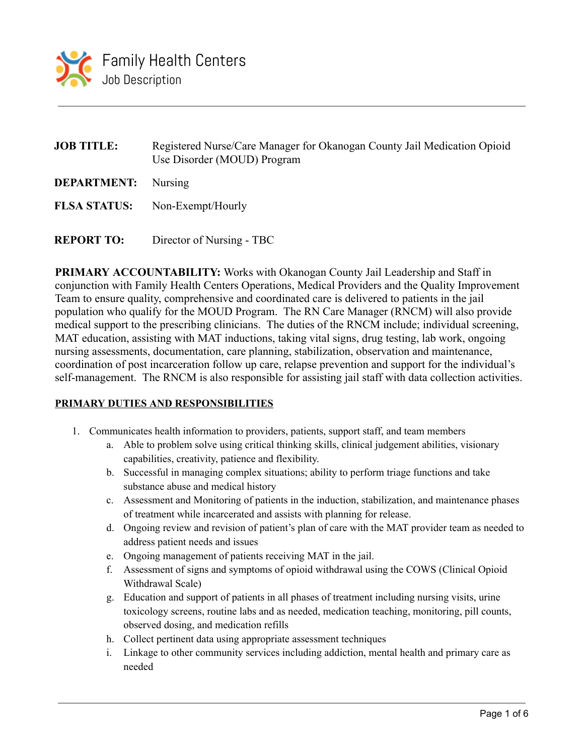

| <b>JOB TITLE:</b>          | Registered Nurse/Care Manager for Okanogan County Jail Medication Opioid<br>Use Disorder (MOUD) Program |  |  |  |  |
|----------------------------|---------------------------------------------------------------------------------------------------------|--|--|--|--|
| <b>DEPARTMENT:</b> Nursing |                                                                                                         |  |  |  |  |
|                            | <b>FLSA STATUS:</b> Non-Exempt/Hourly                                                                   |  |  |  |  |
|                            |                                                                                                         |  |  |  |  |

**REPORT TO:** Director of Nursing - TBC

**PRIMARY ACCOUNTABILITY:** Works with Okanogan County Jail Leadership and Staff in conjunction with Family Health Centers Operations, Medical Providers and the Quality Improvement Team to ensure quality, comprehensive and coordinated care is delivered to patients in the jail population who qualify for the MOUD Program. The RN Care Manager (RNCM) will also provide medical support to the prescribing clinicians. The duties of the RNCM include; individual screening, MAT education, assisting with MAT inductions, taking vital signs, drug testing, lab work, ongoing nursing assessments, documentation, care planning, stabilization, observation and maintenance, coordination of post incarceration follow up care, relapse prevention and support for the individual's self-management. The RNCM is also responsible for assisting jail staff with data collection activities.

## **PRIMARY DUTIES AND RESPONSIBILITIES**

- 1. Communicates health information to providers, patients, support staff, and team members
	- a. Able to problem solve using critical thinking skills, clinical judgement abilities, visionary capabilities, creativity, patience and flexibility.
	- b. Successful in managing complex situations; ability to perform triage functions and take substance abuse and medical history
	- c. Assessment and Monitoring of patients in the induction, stabilization, and maintenance phases of treatment while incarcerated and assists with planning for release.
	- d. Ongoing review and revision of patient's plan of care with the MAT provider team as needed to address patient needs and issues
	- e. Ongoing management of patients receiving MAT in the jail.
	- f. Assessment of signs and symptoms of opioid withdrawal using the COWS (Clinical Opioid Withdrawal Scale)
	- g. Education and support of patients in all phases of treatment including nursing visits, urine toxicology screens, routine labs and as needed, medication teaching, monitoring, pill counts, observed dosing, and medication refills
	- h. Collect pertinent data using appropriate assessment techniques
	- i. Linkage to other community services including addiction, mental health and primary care as needed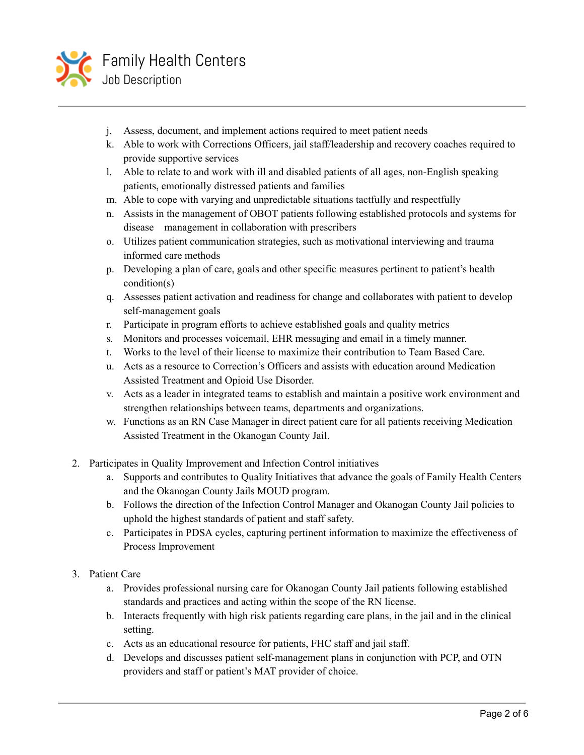

- j. Assess, document, and implement actions required to meet patient needs
- k. Able to work with Corrections Officers, jail staff/leadership and recovery coaches required to provide supportive services
- l. Able to relate to and work with ill and disabled patients of all ages, non-English speaking patients, emotionally distressed patients and families
- m. Able to cope with varying and unpredictable situations tactfully and respectfully
- n. Assists in the management of OBOT patients following established protocols and systems for disease management in collaboration with prescribers
- o. Utilizes patient communication strategies, such as motivational interviewing and trauma informed care methods
- p. Developing a plan of care, goals and other specific measures pertinent to patient's health condition(s)
- q. Assesses patient activation and readiness for change and collaborates with patient to develop self-management goals
- r. Participate in program efforts to achieve established goals and quality metrics
- s. Monitors and processes voicemail, EHR messaging and email in a timely manner.
- t. Works to the level of their license to maximize their contribution to Team Based Care.
- u. Acts as a resource to Correction's Officers and assists with education around Medication Assisted Treatment and Opioid Use Disorder.
- v. Acts as a leader in integrated teams to establish and maintain a positive work environment and strengthen relationships between teams, departments and organizations.
- w. Functions as an RN Case Manager in direct patient care for all patients receiving Medication Assisted Treatment in the Okanogan County Jail.
- 2. Participates in Quality Improvement and Infection Control initiatives
	- a. Supports and contributes to Quality Initiatives that advance the goals of Family Health Centers and the Okanogan County Jails MOUD program.
	- b. Follows the direction of the Infection Control Manager and Okanogan County Jail policies to uphold the highest standards of patient and staff safety.
	- c. Participates in PDSA cycles, capturing pertinent information to maximize the effectiveness of Process Improvement
- 3. Patient Care
	- a. Provides professional nursing care for Okanogan County Jail patients following established standards and practices and acting within the scope of the RN license.
	- b. Interacts frequently with high risk patients regarding care plans, in the jail and in the clinical setting.
	- c. Acts as an educational resource for patients, FHC staff and jail staff.
	- d. Develops and discusses patient self-management plans in conjunction with PCP, and OTN providers and staff or patient's MAT provider of choice.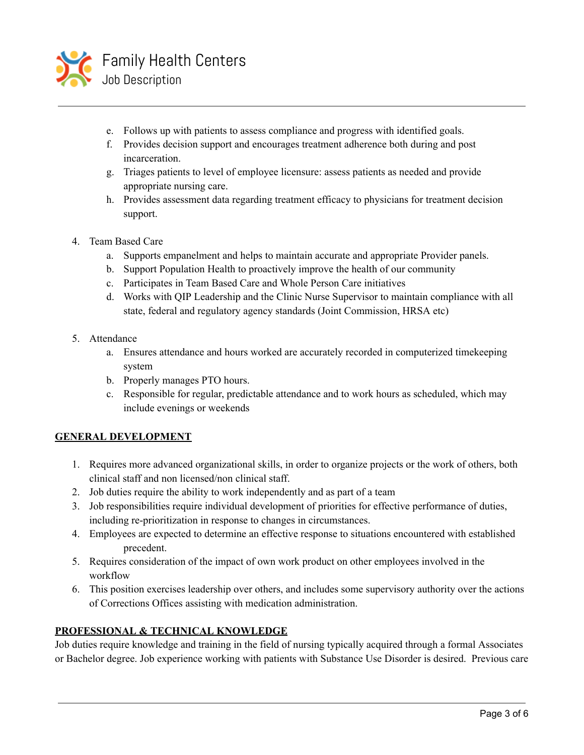

- e. Follows up with patients to assess compliance and progress with identified goals.
- f. Provides decision support and encourages treatment adherence both during and post incarceration.
- g. Triages patients to level of employee licensure: assess patients as needed and provide appropriate nursing care.
- h. Provides assessment data regarding treatment efficacy to physicians for treatment decision support.
- 4. Team Based Care
	- a. Supports empanelment and helps to maintain accurate and appropriate Provider panels.
	- b. Support Population Health to proactively improve the health of our community
	- c. Participates in Team Based Care and Whole Person Care initiatives
	- d. Works with QIP Leadership and the Clinic Nurse Supervisor to maintain compliance with all state, federal and regulatory agency standards (Joint Commission, HRSA etc)
- 5. Attendance
	- a. Ensures attendance and hours worked are accurately recorded in computerized timekeeping system
	- b. Properly manages PTO hours.
	- c. Responsible for regular, predictable attendance and to work hours as scheduled, which may include evenings or weekends

## **GENERAL DEVELOPMENT**

- 1. Requires more advanced organizational skills, in order to organize projects or the work of others, both clinical staff and non licensed/non clinical staff.
- 2. Job duties require the ability to work independently and as part of a team
- 3. Job responsibilities require individual development of priorities for effective performance of duties, including re-prioritization in response to changes in circumstances.
- 4. Employees are expected to determine an effective response to situations encountered with established precedent.
- 5. Requires consideration of the impact of own work product on other employees involved in the workflow
- 6. This position exercises leadership over others, and includes some supervisory authority over the actions of Corrections Offices assisting with medication administration.

#### **PROFESSIONAL & TECHNICAL KNOWLEDGE**

Job duties require knowledge and training in the field of nursing typically acquired through a formal Associates or Bachelor degree. Job experience working with patients with Substance Use Disorder is desired. Previous care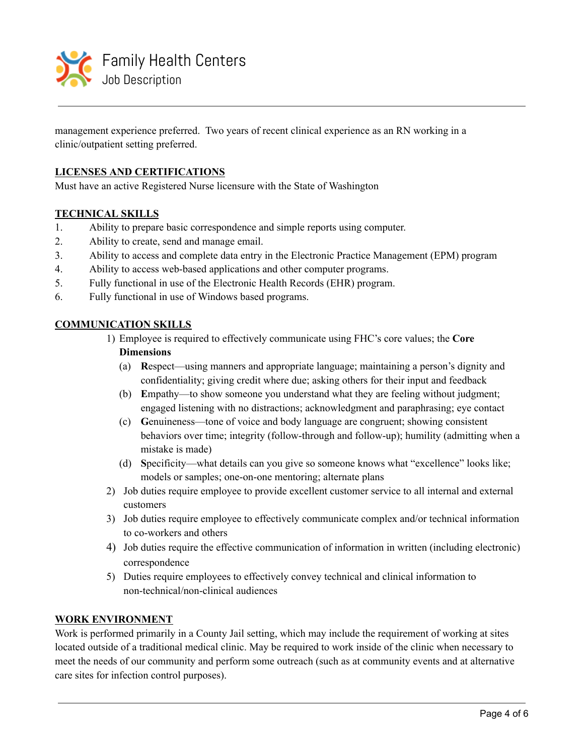

management experience preferred. Two years of recent clinical experience as an RN working in a clinic/outpatient setting preferred.

### **LICENSES AND CERTIFICATIONS**

Must have an active Registered Nurse licensure with the State of Washington

#### **TECHNICAL SKILLS**

- 1. Ability to prepare basic correspondence and simple reports using computer.
- 2. Ability to create, send and manage email.
- 3. Ability to access and complete data entry in the Electronic Practice Management (EPM) program
- 4. Ability to access web-based applications and other computer programs.
- 5. Fully functional in use of the Electronic Health Records (EHR) program.
- 6. Fully functional in use of Windows based programs.

#### **COMMUNICATION SKILLS**

1) Employee is required to effectively communicate using FHC's core values; the **Core Dimensions**

- (a) **R**espect—using manners and appropriate language; maintaining a person's dignity and confidentiality; giving credit where due; asking others for their input and feedback
- (b) **E**mpathy—to show someone you understand what they are feeling without judgment; engaged listening with no distractions; acknowledgment and paraphrasing; eye contact
- (c) **G**enuineness—tone of voice and body language are congruent; showing consistent behaviors over time; integrity (follow-through and follow-up); humility (admitting when a mistake is made)
- (d) **S**pecificity—what details can you give so someone knows what "excellence" looks like; models or samples; one-on-one mentoring; alternate plans
- 2) Job duties require employee to provide excellent customer service to all internal and external customers
- 3) Job duties require employee to effectively communicate complex and/or technical information to co-workers and others
- 4) Job duties require the effective communication of information in written (including electronic) correspondence
- 5) Duties require employees to effectively convey technical and clinical information to non-technical/non-clinical audiences

#### **WORK ENVIRONMENT**

Work is performed primarily in a County Jail setting, which may include the requirement of working at sites located outside of a traditional medical clinic. May be required to work inside of the clinic when necessary to meet the needs of our community and perform some outreach (such as at community events and at alternative care sites for infection control purposes).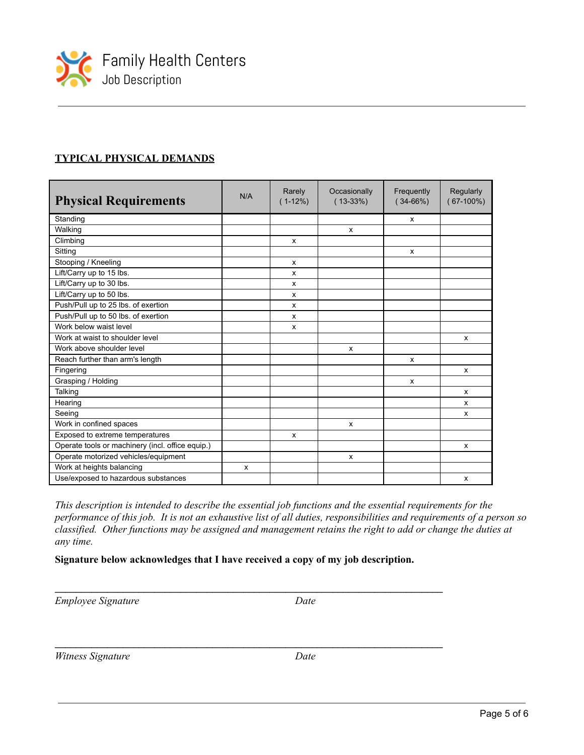

# **TYPICAL PHYSICAL DEMANDS**

| <b>Physical Requirements</b>                     | N/A | Rarely<br>$(1-12%)$ | Occasionally<br>$(13-33%)$ | Frequently<br>$(34-66%)$ | Regularly<br>$(67-100\%)$ |
|--------------------------------------------------|-----|---------------------|----------------------------|--------------------------|---------------------------|
| Standing                                         |     |                     |                            | X                        |                           |
| Walking                                          |     |                     | X                          |                          |                           |
| Climbing                                         |     | X                   |                            |                          |                           |
| Sitting                                          |     |                     |                            | X                        |                           |
| Stooping / Kneeling                              |     | x                   |                            |                          |                           |
| Lift/Carry up to 15 lbs.                         |     | x                   |                            |                          |                           |
| Lift/Carry up to 30 lbs.                         |     | X                   |                            |                          |                           |
| Lift/Carry up to 50 lbs.                         |     | x                   |                            |                          |                           |
| Push/Pull up to 25 lbs. of exertion              |     | x                   |                            |                          |                           |
| Push/Pull up to 50 lbs. of exertion              |     | X                   |                            |                          |                           |
| Work below waist level                           |     | x                   |                            |                          |                           |
| Work at waist to shoulder level                  |     |                     |                            |                          | X                         |
| Work above shoulder level                        |     |                     | X                          |                          |                           |
| Reach further than arm's length                  |     |                     |                            | X                        |                           |
| Fingering                                        |     |                     |                            |                          | X                         |
| Grasping / Holding                               |     |                     |                            | X                        |                           |
| Talking                                          |     |                     |                            |                          | x                         |
| Hearing                                          |     |                     |                            |                          | x                         |
| Seeing                                           |     |                     |                            |                          | x                         |
| Work in confined spaces                          |     |                     | x                          |                          |                           |
| Exposed to extreme temperatures                  |     | x                   |                            |                          |                           |
| Operate tools or machinery (incl. office equip.) |     |                     |                            |                          | x                         |
| Operate motorized vehicles/equipment             |     |                     | X                          |                          |                           |
| Work at heights balancing                        | X   |                     |                            |                          |                           |
| Use/exposed to hazardous substances              |     |                     |                            |                          | X                         |

*This description is intended to describe the essential job functions and the essential requirements for the* performance of this job. It is not an exhaustive list of all duties, responsibilities and requirements of a person so classified. Other functions may be assigned and management retains the right to add or change the duties at *any time.*

#### **Signature below acknowledges that I have received a copy of my job description.**

**\_\_\_\_\_\_\_\_\_\_\_\_\_\_\_\_\_\_\_\_\_\_\_\_\_\_\_\_\_\_\_\_\_\_\_\_\_\_\_\_\_\_\_\_\_\_\_\_\_\_\_\_\_\_\_\_\_\_\_\_\_\_\_\_\_\_\_\_\_\_\_\_\_\_**

**\_\_\_\_\_\_\_\_\_\_\_\_\_\_\_\_\_\_\_\_\_\_\_\_\_\_\_\_\_\_\_\_\_\_\_\_\_\_\_\_\_\_\_\_\_\_\_\_\_\_\_\_\_\_\_\_\_\_\_\_\_\_\_\_\_\_\_\_\_\_\_\_\_\_**

*Employee Signature Date*

*Witness Signature Date*